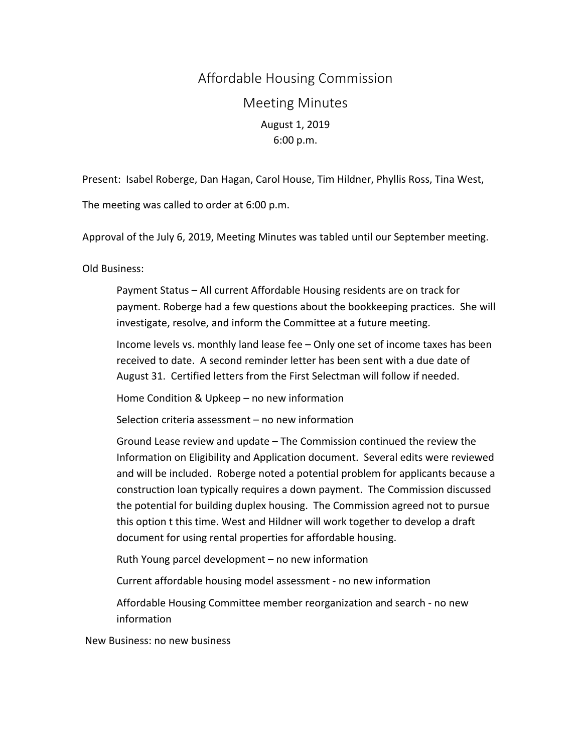## Affordable Housing Commission Meeting Minutes August 1, 2019 6:00 p.m.

Present: Isabel Roberge, Dan Hagan, Carol House, Tim Hildner, Phyllis Ross, Tina West,

The meeting was called to order at 6:00 p.m.

Approval of the July 6, 2019, Meeting Minutes was tabled until our September meeting.

Old Business:

Payment Status – All current Affordable Housing residents are on track for payment. Roberge had a few questions about the bookkeeping practices. She will investigate, resolve, and inform the Committee at a future meeting.

Income levels vs. monthly land lease fee - Only one set of income taxes has been received to date. A second reminder letter has been sent with a due date of August 31. Certified letters from the First Selectman will follow if needed.

Home Condition & Upkeep – no new information

Selection criteria assessment – no new information

Ground Lease review and update – The Commission continued the review the Information on Eligibility and Application document. Several edits were reviewed and will be included. Roberge noted a potential problem for applicants because a construction loan typically requires a down payment. The Commission discussed the potential for building duplex housing. The Commission agreed not to pursue this option t this time. West and Hildner will work together to develop a draft document for using rental properties for affordable housing.

Ruth Young parcel development – no new information

Current affordable housing model assessment - no new information

Affordable Housing Committee member reorganization and search - no new information 

New Business: no new business